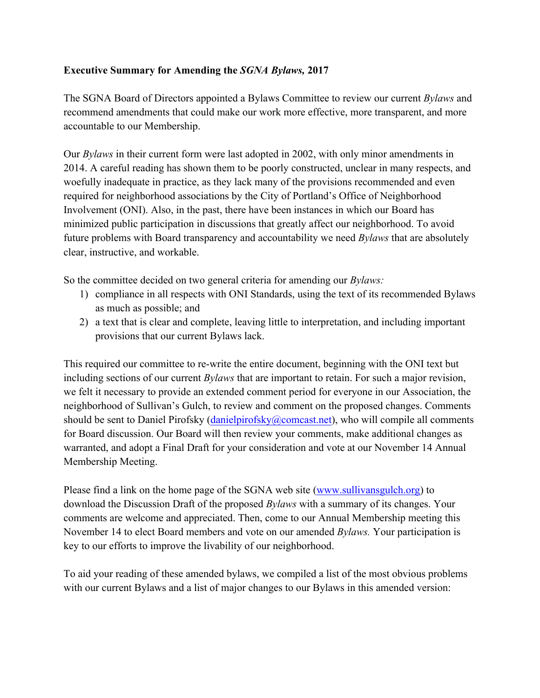## **Executive Summary for Amending the** *SGNA Bylaws,* **2017**

The SGNA Board of Directors appointed a Bylaws Committee to review our current *Bylaws* and recommend amendments that could make our work more effective, more transparent, and more accountable to our Membership.

Our *Bylaws* in their current form were last adopted in 2002, with only minor amendments in 2014. A careful reading has shown them to be poorly constructed, unclear in many respects, and woefully inadequate in practice, as they lack many of the provisions recommended and even required for neighborhood associations by the City of Portland's Office of Neighborhood Involvement (ONI). Also, in the past, there have been instances in which our Board has minimized public participation in discussions that greatly affect our neighborhood. To avoid future problems with Board transparency and accountability we need *Bylaws* that are absolutely clear, instructive, and workable.

So the committee decided on two general criteria for amending our *Bylaws:*

- 1) compliance in all respects with ONI Standards, using the text of its recommended Bylaws as much as possible; and
- 2) a text that is clear and complete, leaving little to interpretation, and including important provisions that our current Bylaws lack.

This required our committee to re-write the entire document, beginning with the ONI text but including sections of our current *Bylaws* that are important to retain. For such a major revision, we felt it necessary to provide an extended comment period for everyone in our Association, the neighborhood of Sullivan's Gulch, to review and comment on the proposed changes. Comments should be sent to Daniel Pirofsky (danielpirofsky@comcast.net), who will compile all comments for Board discussion. Our Board will then review your comments, make additional changes as warranted, and adopt a Final Draft for your consideration and vote at our November 14 Annual Membership Meeting.

Please find a link on the home page of the SGNA web site (www.sullivansgulch.org) to download the Discussion Draft of the proposed *Bylaws* with a summary of its changes. Your comments are welcome and appreciated. Then, come to our Annual Membership meeting this November 14 to elect Board members and vote on our amended *Bylaws.* Your participation is key to our efforts to improve the livability of our neighborhood.

To aid your reading of these amended bylaws, we compiled a list of the most obvious problems with our current Bylaws and a list of major changes to our Bylaws in this amended version: